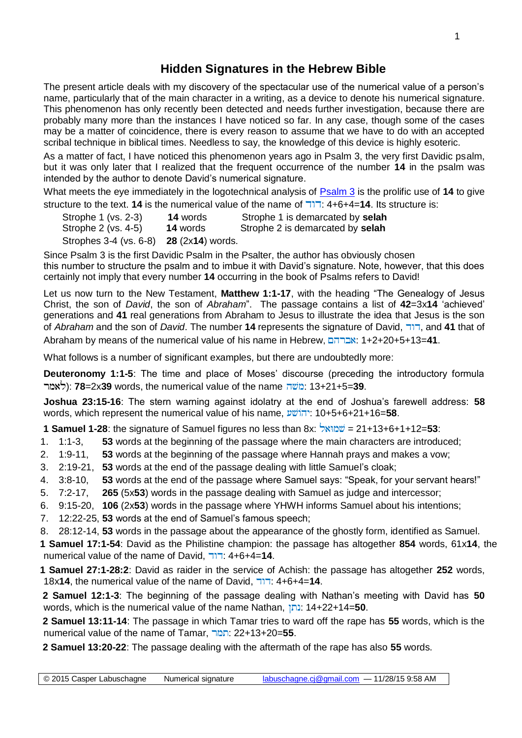## **Hidden Signatures in the Hebrew Bible**

The present article deals with my discovery of the spectacular use of the numerical value of a person's name, particularly that of the main character in a writing, as a device to denote his numerical signature. This phenomenon has only recently been detected and needs further investigation, because there are probably many more than the instances I have noticed so far. In any case, though some of the cases may be a matter of coincidence, there is every reason to assume that we have to do with an accepted scribal technique in biblical times. Needless to say, the knowledge of this device is highly esoteric.

As a matter of fact, I have noticed this phenomenon years ago in Psalm 3, the very first Davidic psalm, but it was only later that I realized that the frequent occurrence of the number **14** in the psalm was intended by the author to denote David's numerical signature.

What meets the eye immediately in the logotechnical analysis of [Psalm 3](http://www.labuschagne.nl/ps003.pdf) is the prolific use of **14** to give structure to the text. **14** is the numerical value of the name of : 4+6+4=**14**. Its structure is:

| Strophe 1 (vs. 2-3) | <b>14</b> words | Strophe 1 is demarcated by selah |
|---------------------|-----------------|----------------------------------|
| Strophe 2 (vs. 4-5) | <b>14</b> words | Strophe 2 is demarcated by selah |

Strophes 3-4 (vs. 6-8) **28** (2x**14**) words.

Since Psalm 3 is the first Davidic Psalm in the Psalter, the author has obviously chosen this number to structure the psalm and to imbue it with David's signature. Note, however, that this does certainly not imply that every number **14** occurring in the book of Psalms refers to David!

Let us now turn to the New Testament, **Matthew 1:1-17**, with the heading "The Genealogy of Jesus Christ, the son of *David*, the son of *Abraham*". The passage contains a list of **42**=3x**14** 'achieved' generations and **41** real generations from Abraham to Jesus to illustrate the idea that Jesus is the son of *Abraham* and the son of *David*. The number **14** represents the signature of David, , and **41** that of Abraham by means of the numerical value of his name in Hebrew,  $\frac{1}{2}$ : 1+2+20+5+13=41.

What follows is a number of significant examples, but there are undoubtedly more:

**Deuteronomy 1:1-5**: The time and place of Moses' discourse (preceding the introductory formula ): **78**=2x**39** words, the numerical value of the name : 13+21+5=**39**.

**Joshua 23:15-16**: The stern warning against idolatry at the end of Joshua's farewell address: **58** words, which represent the numerical value of his name,  $v\ddot{v}$  10+5+6+21+16=58.

**1 Samuel 1-28**: the signature of Samuel figures no less than 8x: **EXIO 21+13+6+1+12=53**:

1. 1:1-3, **53** words at the beginning of the passage where the main characters are introduced;

- 2. 1:9-11, **53** words at the beginning of the passage where Hannah prays and makes a vow;
- 3. 2:19-21, **53** words at the end of the passage dealing with little Samuel's cloak;
- 4. 3:8-10, **53** words at the end of the passage where Samuel says: "Speak, for your servant hears!"
- 5. 7:2-17, **265** (5x**53**) words in the passage dealing with Samuel as judge and intercessor;
- 6. 9:15-20, **106** (2x**53**) words in the passage where YHWH informs Samuel about his intentions;
- 7. 12:22-25, **53** words at the end of Samuel's famous speech;
- 8. 28:12-14, **53** words in the passage about the appearance of the ghostly form, identified as Samuel.

**1 Samuel 17:1-54**: David as the Philistine champion: the passage has altogether **854** words, 61x**14**, the numerical value of the name of David, : 4+6+4=**14**.

**1 Samuel 27:1-28:2**: David as raider in the service of Achish: the passage has altogether **252** words, 18x**14**, the numerical value of the name of David, : 4+6+4=**14**.

 **2 Samuel 12:1-3**: The beginning of the passage dealing with Nathan's meeting with David has **50** words, which is the numerical value of the name Nathan, : 14+22+14=**50**.

 **2 Samuel 13:11-14**: The passage in which Tamar tries to ward off the rape has **55** words, which is the numerical value of the name of Tamar, : 22+13+20=**55**.

 **2 Samuel 13:20-22**: The passage dealing with the aftermath of the rape has also **55** words.